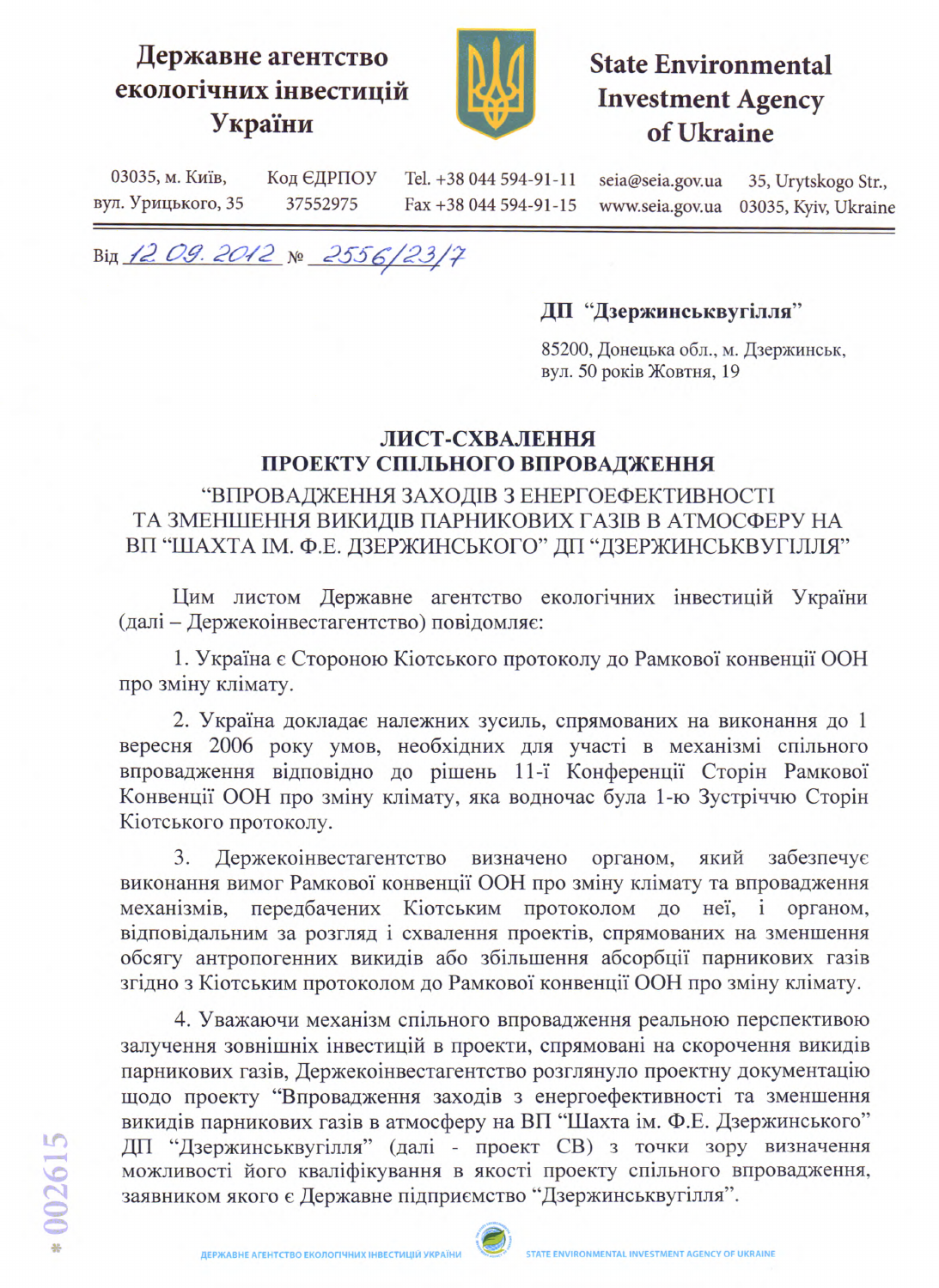## Державне агентство екологічних інвестицій України



## **State Environmental Investment Agency** of Ukraine

03035, м. Київ, Код ЄДРПОУ Tel. +38 044 594-91-11 seia@seia.gov.ua 35, Urytskogo Str., вул. Урицького, 35 37552975 Fax +38 044 594-91-15 03035, Kyiv, Ukraine www.seia.gov.ua

Від 12 09. 2012 № 2556/23/7

## ДП "Дзержинськвугілля"

85200, Донецька обл., м. Дзержинськ, вул. 50 років Жовтня, 19

## ЛИСТ-СХВАЛЕННЯ ПРОЕКТУ СПІЛЬНОГО ВПРОВАДЖЕННЯ

"ВПРОВАДЖЕННЯ ЗАХОДІВ З ЕНЕРГОЕФЕКТИВНОСТІ ТА ЗМЕНШЕННЯ ВИКИДІВ ПАРНИКОВИХ ГАЗІВ В АТМОСФЕРУ НА ВП "ШАХТА ІМ. Ф.Е. ДЗЕРЖИНСЬКОГО" ДП "ДЗЕРЖИНСЬКВУГІЛЛЯ"

Цим листом Державне агентство екологічних інвестицій України (далі - Держекоінвестагентство) повідомляє:

1. Україна є Стороною Кіотського протоколу до Рамкової конвенції ООН про зміну клімату.

2. Україна докладає належних зусиль, спрямованих на виконання до 1 вересня 2006 року умов, необхідних для участі в механізмі спільного впровадження відповідно до рішень 11-ї Конференції Сторін Рамкової Конвенції ООН про зміну клімату, яка водночас була 1-ю Зустріччю Сторін Кіотського протоколу.

3. Держекоінвестагентство визначено органом, який забезпечує виконання вимог Рамкової конвенції ООН про зміну клімату та впровадження механізмів, передбачених Кіотським протоколом до неї, і органом, відповідальним за розгляд і схвалення проектів, спрямованих на зменшення обсягу антропогенних викидів або збільшення абсорбції парникових газів згідно з Кіотським протоколом до Рамкової конвенції ООН про зміну клімату.

4. Уважаючи механізм спільного впровадження реальною перспективою залучення зовнішніх інвестицій в проекти, спрямовані на скорочення викидів парникових газів, Держекоінвестагентство розглянуло проектну документацію щодо проекту "Впровадження заходів з енергоефективності та зменшення викидів парникових газів в атмосферу на ВП "Шахта ім. Ф.Е. Дзержинського" ДП "Дзержинськвугілля" (далі - проект СВ) з точки зору визначення можливості його кваліфікування в якості проекту спільного впровадження, заявником якого є Державне підприємство "Дзержинськвугілля".